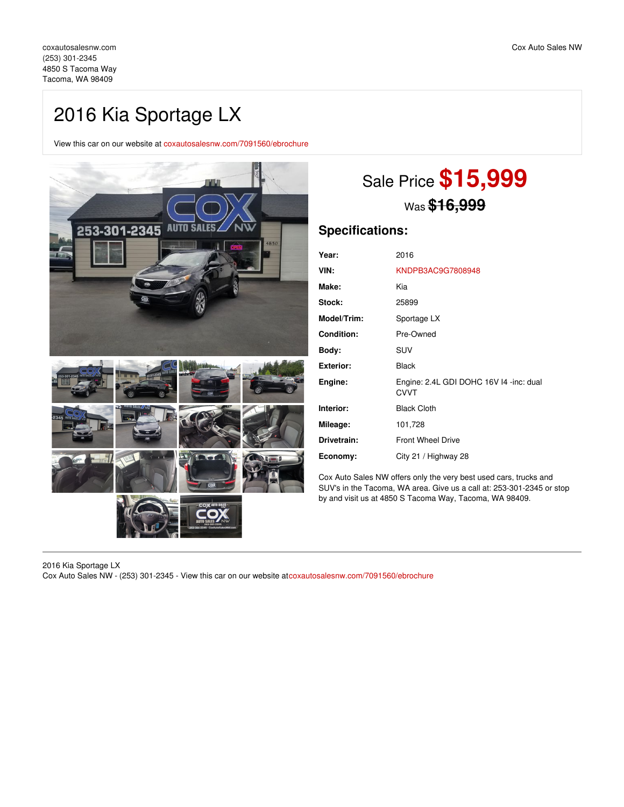## 2016 Kia Sportage LX

View this car on our website at [coxautosalesnw.com/7091560/ebrochure](https://coxautosalesnw.com/vehicle/7091560/2016-kia-sportage-lx-tacoma-wa-98409/7091560/ebrochure)



# Sale Price **\$15,999** Was **\$16,999**

### **Specifications:**

| Year:             | 2016                                                   |
|-------------------|--------------------------------------------------------|
| VIN:              | KNDPB3AC9G7808948                                      |
| Make:             | Kia                                                    |
| Stock:            | 25899                                                  |
| Model/Trim:       | Sportage LX                                            |
| <b>Condition:</b> | Pre-Owned                                              |
| Body:             | <b>SUV</b>                                             |
| <b>Exterior:</b>  | <b>Black</b>                                           |
| Engine:           | Engine: 2.4L GDI DOHC 16V I4 -inc: dual<br><b>CVVT</b> |
| Interior:         | <b>Black Cloth</b>                                     |
| Mileage:          | 101,728                                                |
| Drivetrain:       | <b>Front Wheel Drive</b>                               |
| Economy:          | City 21 / Highway 28                                   |

Cox Auto Sales NW offers only the very best used cars, trucks and SUV's in the Tacoma, WA area. Give us a call at: 253-301-2345 or stop by and visit us at 4850 S Tacoma Way, Tacoma, WA 98409.

2016 Kia Sportage LX Cox Auto Sales NW - (253) 301-2345 - View this car on our website at[coxautosalesnw.com/7091560/ebrochure](https://coxautosalesnw.com/vehicle/7091560/2016-kia-sportage-lx-tacoma-wa-98409/7091560/ebrochure)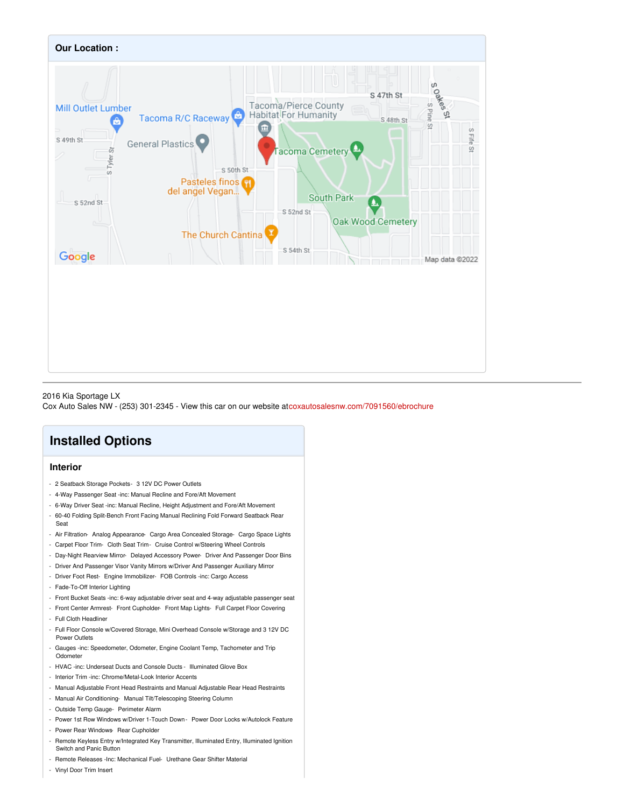

#### 2016 Kia Sportage LX

Cox Auto Sales NW - (253) 301-2345 - View this car on our website at[coxautosalesnw.com/7091560/ebrochure](https://coxautosalesnw.com/vehicle/7091560/2016-kia-sportage-lx-tacoma-wa-98409/7091560/ebrochure)

### **Installed Options**

### **Interior**

- 2 Seatback Storage Pockets- 3 12V DC Power Outlets
- 4-Way Passenger Seat -inc: Manual Recline and Fore/Aft Movement
- 6-Way Driver Seat -inc: Manual Recline, Height Adjustment and Fore/Aft Movement
- 60-40 Folding Split-Bench Front Facing Manual Reclining Fold Forward Seatback Rear Seat
- Air Filtration- Analog Appearance- Cargo Area Concealed Storage- Cargo Space Lights
- Carpet Floor Trim- Cloth Seat Trim- Cruise Control w/Steering Wheel Controls
- Day-Night Rearview Mirror- Delayed Accessory Power- Driver And Passenger Door Bins
- Driver And Passenger Visor Vanity Mirrors w/Driver And Passenger Auxiliary Mirror
- Driver Foot Rest- Engine Immobilizer- FOB Controls -inc: Cargo Access
- Fade-To-Off Interior Lighting
- Front Bucket Seats -inc: 6-way adjustable driver seat and 4-way adjustable passenger seat
- Front Center Armrest- Front Cupholder- Front Map Lights- Full Carpet Floor Covering - Full Cloth Headliner
- 
- Full Floor Console w/Covered Storage, Mini Overhead Console w/Storage and 3 12V DC Power Outlets
- Gauges -inc: Speedometer, Odometer, Engine Coolant Temp, Tachometer and Trip Odometer
- HVAC -inc: Underseat Ducts and Console Ducts Illuminated Glove Box
- Interior Trim -inc: Chrome/Metal-Look Interior Accents
- Manual Adjustable Front Head Restraints and Manual Adjustable Rear Head Restraints
- Manual Air Conditioning- Manual Tilt/Telescoping Steering Column
- Outside Temp Gauge- Perimeter Alarm
- Power 1st Row Windows w/Driver 1-Touch Down Power Door Locks w/Autolock Feature
- Power Rear Windows- Rear Cupholder
- Remote Keyless Entry w/Integrated Key Transmitter, Illuminated Entry, Illuminated Ignition Switch and Panic Button
- Remote Releases -Inc: Mechanical Fuel- Urethane Gear Shifter Material
- Vinyl Door Trim Insert